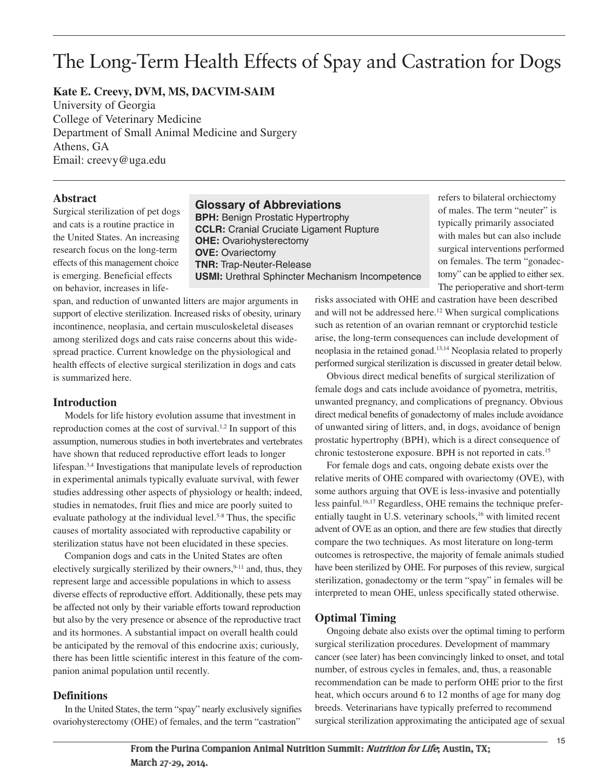# The Long-Term Health Effects of Spay and Castration for Dogs

# **Kate E. Creevy, DVM, MS, DACVIM-SAIM**

University of Georgia College of Veterinary Medicine Department of Small Animal Medicine and Surgery Athens, GA Email: creevy@uga.edu

#### **Abstract**

Surgical sterilization of pet dogs and cats is a routine practice in the United States. An increasing research focus on the long-term effects of this management choice is emerging. Beneficial effects on behavior, increases in life-

## **Glossary of Abbreviations**

**BPH:** Benign Prostatic Hypertrophy **CCLR:** Cranial Cruciate Ligament Rupture **OHE:** Ovariohysterectomy **OVE:** Ovariectomy **TNR:** Trap-Neuter-Release **USMI:** Urethral Sphincter Mechanism Incompetence refers to bilateral orchiectomy of males. The term "neuter" is typically primarily associated with males but can also include surgical interventions performed on females. The term "gonadectomy" can be applied to either sex. The perioperative and short-term

span, and reduction of unwanted litters are major arguments in support of elective sterilization. Increased risks of obesity, urinary incontinence, neoplasia, and certain musculoskeletal diseases among sterilized dogs and cats raise concerns about this widespread practice. Current knowledge on the physiological and health effects of elective surgical sterilization in dogs and cats is summarized here.

## **Introduction**

Models for life history evolution assume that investment in reproduction comes at the cost of survival.<sup>1,2</sup> In support of this assumption, numerous studies in both invertebrates and vertebrates have shown that reduced reproductive effort leads to longer lifespan. 3,4 Investigations that manipulate levels of reproduction in experimental animals typically evaluate survival, with fewer studies addressing other aspects of physiology or health; indeed, studies in nematodes, fruit flies and mice are poorly suited to evaluate pathology at the individual level. 5-8 Thus, the specific causes of mortality associated with reproductive capability or sterilization status have not been elucidated in these species.

Companion dogs and cats in the United States are often electively surgically sterilized by their owners,<sup>9-11</sup> and, thus, they represent large and accessible populations in which to assess diverse effects of reproductive effort. Additionally, these pets may be affected not only by their variable efforts toward reproduction but also by the very presence or absence of the reproductive tract and its hormones. A substantial impact on overall health could be anticipated by the removal of this endocrine axis; curiously, there has been little scientific interest in this feature of the companion animal population until recently.

## **Definitions**

In the United States, the term "spay" nearly exclusively signifies ovariohysterectomy (OHE) of females, and the term "castration"

risks associated with OHE and castration have been described and will not be addressed here. <sup>12</sup> When surgical complications such as retention of an ovarian remnant or cryptorchid testicle arise, the long-term consequences can include development of neoplasia in the retained gonad. 13,14 Neoplasia related to properly performed surgical sterilization is discussed in greater detail below.

Obvious direct medical benefits of surgical sterilization of female dogs and cats include avoidance of pyometra, metritis, unwanted pregnancy, and complications of pregnancy. Obvious direct medical benefits of gonadectomy of males include avoidance of unwanted siring of litters, and, in dogs, avoidance of benign prostatic hypertrophy (BPH), which is a direct consequence of chronic testosterone exposure. BPH is not reported in cats. 15

For female dogs and cats, ongoing debate exists over the relative merits of OHE compared with ovariectomy (OVE), with some authors arguing that OVE is less-invasive and potentially less painful. 16,17 Regardless, OHE remains the technique preferentially taught in U.S. veterinary schools,<sup>16</sup> with limited recent advent of OVE as an option, and there are few studies that directly compare the two techniques. As most literature on long-term outcomes is retrospective, the majority of female animals studied have been sterilized by OHE. For purposes of this review, surgical sterilization, gonadectomy or the term "spay" in females will be interpreted to mean OHE, unless specifically stated otherwise.

## **Optimal Timing**

Ongoing debate also exists over the optimal timing to perform surgical sterilization procedures. Development of mammary cancer (see later) has been convincingly linked to onset, and total number, of estrous cycles in females, and, thus, a reasonable recommendation can be made to perform OHE prior to the first heat, which occurs around 6 to 12 months of age for many dog breeds. Veterinarians have typically preferred to recommend surgical sterilization approximating the anticipated age of sexual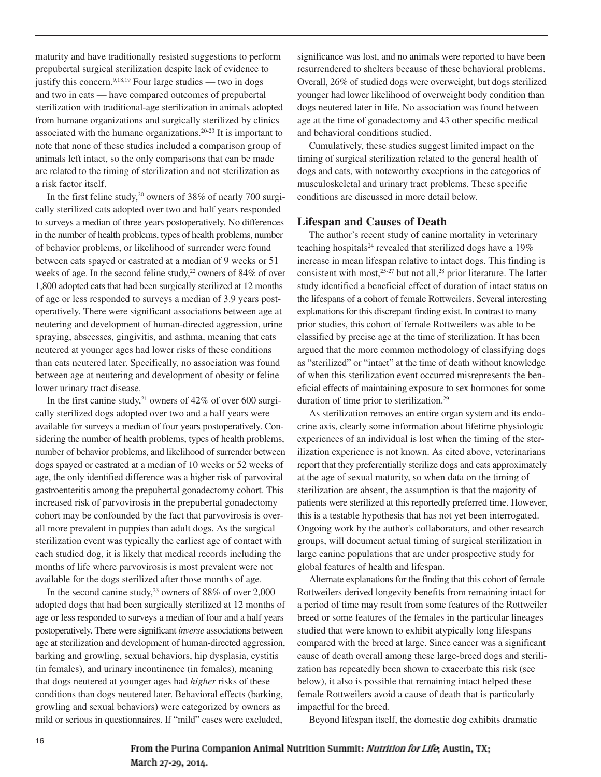maturity and have traditionally resisted suggestions to perform prepubertal surgical sterilization despite lack of evidence to justify this concern. 9,18,19 Four large studies — two in dogs and two in cats — have compared outcomes of prepubertal sterilization with traditional-age sterilization in animals adopted from humane organizations and surgically sterilized by clinics associated with the humane organizations. 20-23 It is important to note that none of these studies included a comparison group of animals left intact, so the only comparisons that can be made are related to the timing of sterilization and not sterilization as a risk factor itself.

In the first feline study,<sup>20</sup> owners of 38% of nearly 700 surgically sterilized cats adopted over two and half years responded to surveys a median of three years postoperatively. No differences in the number of health problems, types of health problems, number of behavior problems, or likelihood of surrender were found between cats spayed or castrated at a median of 9 weeks or 51 weeks of age. In the second feline study,<sup>22</sup> owners of 84% of over 1,800 adopted cats that had been surgically sterilized at 12 months of age or less responded to surveys a median of 3.9 years postoperatively. There were significant associations between age at neutering and development of human-directed aggression, urine spraying, abscesses, gingivitis, and asthma, meaning that cats neutered at younger ages had lower risks of these conditions than cats neutered later. Specifically, no association was found between age at neutering and development of obesity or feline lower urinary tract disease.

In the first canine study,<sup>21</sup> owners of  $42\%$  of over 600 surgically sterilized dogs adopted over two and a half years were available for surveys a median of four years postoperatively. Considering the number of health problems, types of health problems, number of behavior problems, and likelihood of surrender between dogs spayed or castrated at a median of 10 weeks or 52 weeks of age, the only identified difference was a higher risk of parvoviral gastroenteritis among the prepubertal gonadectomy cohort. This increased risk of parvovirosis in the prepubertal gonadectomy cohort may be confounded by the fact that parvovirosis is overall more prevalent in puppies than adult dogs. As the surgical sterilization event was typically the earliest age of contact with each studied dog, it is likely that medical records including the months of life where parvovirosis is most prevalent were not available for the dogs sterilized after those months of age.

In the second canine study, <sup>23</sup> owners of 88% of over 2,000 adopted dogs that had been surgically sterilized at 12 months of age or less responded to surveys a median of four and a half years postoperatively. There were significant *inverse* associations between age at sterilization and development of human-directed aggression, barking and growling, sexual behaviors, hip dysplasia, cystitis (in females), and urinary incontinence (in females), meaning that dogs neutered at younger ages had *higher* risks of these conditions than dogs neutered later. Behavioral effects (barking, growling and sexual behaviors) were categorized by owners as mild or serious in questionnaires. If "mild" cases were excluded,

significance was lost, and no animals were reported to have been resurrendered to shelters because of these behavioral problems. Overall, 26% of studied dogs were overweight, but dogs sterilized younger had lower likelihood of overweight body condition than dogs neutered later in life. No association was found between age at the time of gonadectomy and 43 other specific medical and behavioral conditions studied.

Cumulatively, these studies suggest limited impact on the timing of surgical sterilization related to the general health of dogs and cats, with noteworthy exceptions in the categories of musculoskeletal and urinary tract problems. These specific conditions are discussed in more detail below.

#### **Lifespan and Causes of Death**

The author's recent study of canine mortality in veterinary teaching hospitals<sup>24</sup> revealed that sterilized dogs have a  $19\%$ increase in mean lifespan relative to intact dogs. This finding is consistent with most,  $25-27$  but not all,  $28$  prior literature. The latter study identified a beneficial effect of duration of intact status on the lifespans of a cohort of female Rottweilers. Several interesting explanations for this discrepant finding exist. In contrast to many prior studies, this cohort of female Rottweilers was able to be classified by precise age at the time of sterilization. It has been argued that the more common methodology of classifying dogs as "sterilized" or "intact" at the time of death without knowledge of when this sterilization event occurred misrepresents the beneficial effects of maintaining exposure to sex hormones for some duration of time prior to sterilization. 29

As sterilization removes an entire organ system and its endocrine axis, clearly some information about lifetime physiologic experiences of an individual is lost when the timing of the sterilization experience is not known. As cited above, veterinarians report that they preferentially sterilize dogs and cats approximately at the age of sexual maturity, so when data on the timing of sterilization are absent, the assumption is that the majority of patients were sterilized at this reportedly preferred time. However, this is a testable hypothesis that has not yet been interrogated. Ongoing work by the author's collaborators, and other research groups, will document actual timing of surgical sterilization in large canine populations that are under prospective study for global features of health and lifespan.

Alternate explanations for the finding that this cohort of female Rottweilers derived longevity benefits from remaining intact for a period of time may result from some features of the Rottweiler breed or some features of the females in the particular lineages studied that were known to exhibit atypically long lifespans compared with the breed at large. Since cancer was a significant cause of death overall among these large-breed dogs and sterilization has repeatedly been shown to exacerbate this risk (see below), it also is possible that remaining intact helped these female Rottweilers avoid a cause of death that is particularly impactful for the breed.

Beyond lifespan itself, the domestic dog exhibits dramatic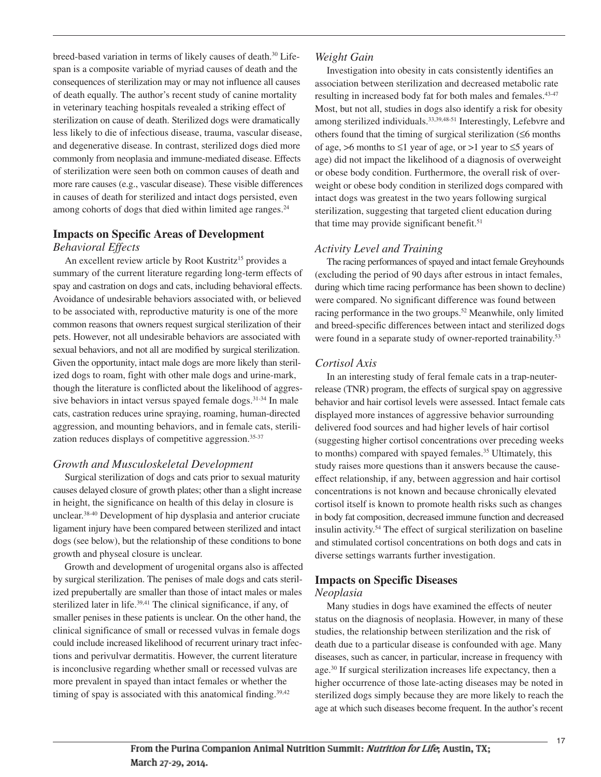breed-based variation in terms of likely causes of death. <sup>30</sup> Lifespan is a composite variable of myriad causes of death and the consequences of sterilization may or may not influence all causes of death equally. The author's recent study of canine mortality in veterinary teaching hospitals revealed a striking effect of sterilization on cause of death. Sterilized dogs were dramatically less likely to die of infectious disease, trauma, vascular disease, and degenerative disease. In contrast, sterilized dogs died more commonly from neoplasia and immune-mediated disease. Effects of sterilization were seen both on common causes of death and more rare causes (e.g., vascular disease). These visible differences in causes of death for sterilized and intact dogs persisted, even among cohorts of dogs that died within limited age ranges. 24

## **Impacts on Specific Areas of Development** *Behavioral Effects*

An excellent review article by Root Kustritz<sup>15</sup> provides a summary of the current literature regarding long-term effects of spay and castration on dogs and cats, including behavioral effects. Avoidance of undesirable behaviors associated with, or believed to be associated with, reproductive maturity is one of the more common reasons that owners request surgical sterilization of their pets. However, not all undesirable behaviors are associated with sexual behaviors, and not all are modified by surgical sterilization. Given the opportunity, intact male dogs are more likely than sterilized dogs to roam, fight with other male dogs and urine-mark, though the literature is conflicted about the likelihood of aggressive behaviors in intact versus spayed female dogs. 31-34 In male cats, castration reduces urine spraying, roaming, human-directed aggression, and mounting behaviors, and in female cats, sterilization reduces displays of competitive aggression. 35-37

# *Growth and Musculoskeletal Development*

Surgical sterilization of dogs and cats prior to sexual maturity causes delayed closure of growth plates; other than a slight increase in height, the significance on health of this delay in closure is unclear. 38-40 Development of hip dysplasia and anterior cruciate ligament injury have been compared between sterilized and intact dogs (see below), but the relationship of these conditions to bone growth and physeal closure is unclear.

Growth and development of urogenital organs also is affected by surgical sterilization. The penises of male dogs and cats sterilized prepubertally are smaller than those of intact males or males sterilized later in life.<sup>39,41</sup> The clinical significance, if any, of smaller penises in these patients is unclear. On the other hand, the clinical significance of small or recessed vulvas in female dogs could include increased likelihood of recurrent urinary tract infections and perivulvar dermatitis. However, the current literature is inconclusive regarding whether small or recessed vulvas are more prevalent in spayed than intact females or whether the timing of spay is associated with this anatomical finding.<sup>39,42</sup>

# *Weight Gain*

Investigation into obesity in cats consistently identifies an association between sterilization and decreased metabolic rate resulting in increased body fat for both males and females. 43-47 Most, but not all, studies in dogs also identify a risk for obesity among sterilized individuals.<sup>33,39,48-51</sup> Interestingly, Lefebvre and others found that the timing of surgical sterilization (≤6 months of age, >6 months to  $\leq 1$  year of age, or >1 year to  $\leq 5$  years of age) did not impact the likelihood of a diagnosis of overweight or obese body condition. Furthermore, the overall risk of overweight or obese body condition in sterilized dogs compared with intact dogs was greatest in the two years following surgical sterilization, suggesting that targeted client education during that time may provide significant benefit. 51

# *Activity Level and Training*

The racing performances of spayed and intact female Greyhounds (excluding the period of 90 days after estrous in intact females, during which time racing performance has been shown to decline) were compared. No significant difference was found between racing performance in the two groups. <sup>52</sup> Meanwhile, only limited and breed-specific differences between intact and sterilized dogs were found in a separate study of owner-reported trainability.<sup>53</sup>

# *Cortisol Axis*

In an interesting study of feral female cats in a trap-neuterrelease (TNR) program, the effects of surgical spay on aggressive behavior and hair cortisol levels were assessed. Intact female cats displayed more instances of aggressive behavior surrounding delivered food sources and had higher levels of hair cortisol (suggesting higher cortisol concentrations over preceding weeks to months) compared with spayed females. <sup>35</sup> Ultimately, this study raises more questions than it answers because the causeeffect relationship, if any, between aggression and hair cortisol concentrations is not known and because chronically elevated cortisol itself is known to promote health risks such as changes in body fat composition, decreased immune function and decreased insulin activity. <sup>54</sup> The effect of surgical sterilization on baseline and stimulated cortisol concentrations on both dogs and cats in diverse settings warrants further investigation.

# **Impacts on Specific Diseases**

## *Neoplasia*

Many studies in dogs have examined the effects of neuter status on the diagnosis of neoplasia. However, in many of these studies, the relationship between sterilization and the risk of death due to a particular disease is confounded with age. Many diseases, such as cancer, in particular, increase in frequency with age. <sup>30</sup> If surgical sterilization increases life expectancy, then a higher occurrence of those late-acting diseases may be noted in sterilized dogs simply because they are more likely to reach the age at which such diseases become frequent. In the author's recent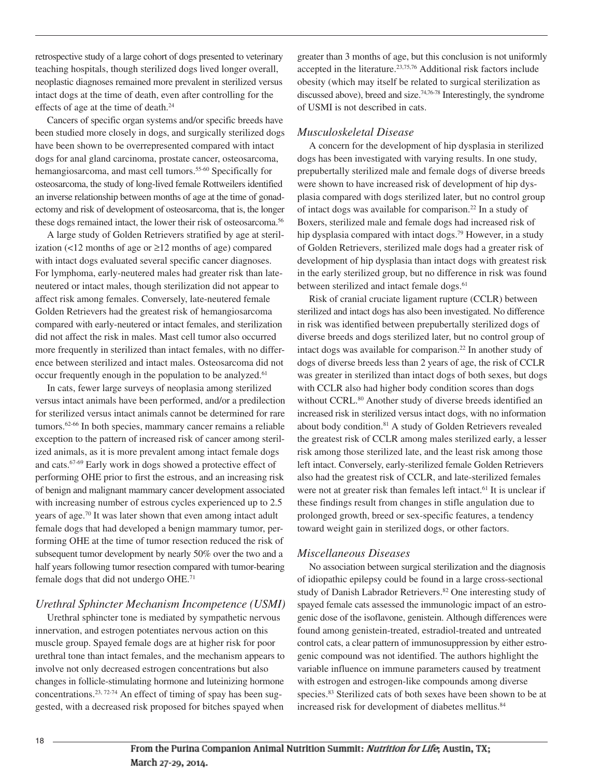retrospective study of a large cohort of dogs presented to veterinary teaching hospitals, though sterilized dogs lived longer overall, neoplastic diagnoses remained more prevalent in sterilized versus intact dogs at the time of death, even after controlling for the effects of age at the time of death. 24

Cancers of specific organ systems and/or specific breeds have been studied more closely in dogs, and surgically sterilized dogs have been shown to be overrepresented compared with intact dogs for anal gland carcinoma, prostate cancer, osteosarcoma, hemangiosarcoma, and mast cell tumors.<sup>55-60</sup> Specifically for osteosarcoma, the study of long-lived female Rottweilers identified an inverse relationship between months of age at the time of gonadectomy and risk of development of osteosarcoma, that is, the longer these dogs remained intact, the lower their risk of osteosarcoma. 56

A large study of Golden Retrievers stratified by age at sterilization (<12 months of age or ≥12 months of age) compared with intact dogs evaluated several specific cancer diagnoses. For lymphoma, early-neutered males had greater risk than lateneutered or intact males, though sterilization did not appear to affect risk among females. Conversely, late-neutered female Golden Retrievers had the greatest risk of hemangiosarcoma compared with early-neutered or intact females, and sterilization did not affect the risk in males. Mast cell tumor also occurred more frequently in sterilized than intact females, with no difference between sterilized and intact males. Osteosarcoma did not occur frequently enough in the population to be analyzed.<sup>61</sup>

In cats, fewer large surveys of neoplasia among sterilized versus intact animals have been performed, and/or a predilection for sterilized versus intact animals cannot be determined for rare tumors. 62-66 In both species, mammary cancer remains a reliable exception to the pattern of increased risk of cancer among sterilized animals, as it is more prevalent among intact female dogs and cats. 67-69 Early work in dogs showed a protective effect of performing OHE prior to first the estrous, and an increasing risk of benign and malignant mammary cancer development associated with increasing number of estrous cycles experienced up to 2.5 years of age. <sup>70</sup> It was later shown that even among intact adult female dogs that had developed a benign mammary tumor, performing OHE at the time of tumor resection reduced the risk of subsequent tumor development by nearly 50% over the two and a half years following tumor resection compared with tumor-bearing female dogs that did not undergo OHE. 71

#### *Urethral Sphincter Mechanism Incompetence (USMI)*

Urethral sphincter tone is mediated by sympathetic nervous innervation, and estrogen potentiates nervous action on this muscle group. Spayed female dogs are at higher risk for poor urethral tone than intact females, and the mechanism appears to involve not only decreased estrogen concentrations but also changes in follicle-stimulating hormone and luteinizing hormone concentrations. 23, 72-74 An effect of timing of spay has been suggested, with a decreased risk proposed for bitches spayed when

greater than 3 months of age, but this conclusion is not uniformly accepted in the literature. 23,75,76 Additional risk factors include obesity (which may itself be related to surgical sterilization as discussed above), breed and size. 74,76-78 Interestingly, the syndrome of USMI is not described in cats.

#### *Musculoskeletal Disease*

A concern for the development of hip dysplasia in sterilized dogs has been investigated with varying results. In one study, prepubertally sterilized male and female dogs of diverse breeds were shown to have increased risk of development of hip dysplasia compared with dogs sterilized later, but no control group of intact dogs was available for comparison. <sup>22</sup> In a study of Boxers, sterilized male and female dogs had increased risk of hip dysplasia compared with intact dogs.<sup>79</sup> However, in a study of Golden Retrievers, sterilized male dogs had a greater risk of development of hip dysplasia than intact dogs with greatest risk in the early sterilized group, but no difference in risk was found between sterilized and intact female dogs. 61

Risk of cranial cruciate ligament rupture (CCLR) between sterilized and intact dogs has also been investigated. No difference in risk was identified between prepubertally sterilized dogs of diverse breeds and dogs sterilized later, but no control group of intact dogs was available for comparison. <sup>22</sup> In another study of dogs of diverse breeds less than 2 years of age, the risk of CCLR was greater in sterilized than intact dogs of both sexes, but dogs with CCLR also had higher body condition scores than dogs without CCRL. <sup>80</sup> Another study of diverse breeds identified an increased risk in sterilized versus intact dogs, with no information about body condition. <sup>81</sup> A study of Golden Retrievers revealed the greatest risk of CCLR among males sterilized early, a lesser risk among those sterilized late, and the least risk among those left intact. Conversely, early-sterilized female Golden Retrievers also had the greatest risk of CCLR, and late-sterilized females were not at greater risk than females left intact.<sup>61</sup> It is unclear if these findings result from changes in stifle angulation due to prolonged growth, breed or sex-specific features, a tendency toward weight gain in sterilized dogs, or other factors.

#### *Miscellaneous Diseases*

No association between surgical sterilization and the diagnosis of idiopathic epilepsy could be found in a large cross-sectional study of Danish Labrador Retrievers. <sup>82</sup> One interesting study of spayed female cats assessed the immunologic impact of an estrogenic dose of the isoflavone, genistein. Although differences were found among genistein-treated, estradiol-treated and untreated control cats, a clear pattern of immunosuppression by either estrogenic compound was not identified. The authors highlight the variable influence on immune parameters caused by treatment with estrogen and estrogen-like compounds among diverse species. <sup>83</sup> Sterilized cats of both sexes have been shown to be at increased risk for development of diabetes mellitus. 84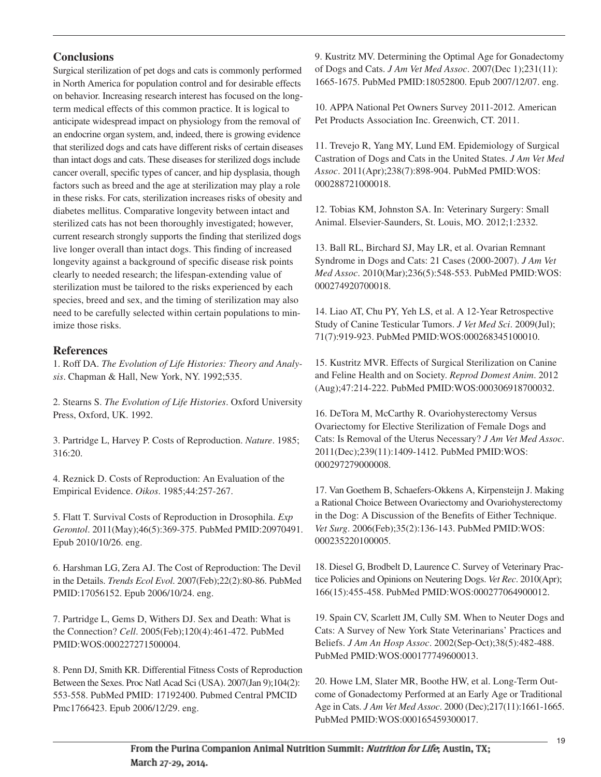# **Conclusions**

Surgical sterilization of pet dogs and cats is commonly performed in North America for population control and for desirable effects on behavior. Increasing research interest has focused on the longterm medical effects of this common practice. It is logical to anticipate widespread impact on physiology from the removal of an endocrine organ system, and, indeed, there is growing evidence that sterilized dogs and cats have different risks of certain diseases than intact dogs and cats. These diseases for sterilized dogs include cancer overall, specific types of cancer, and hip dysplasia, though factors such as breed and the age at sterilization may play a role in these risks. For cats, sterilization increases risks of obesity and diabetes mellitus. Comparative longevity between intact and sterilized cats has not been thoroughly investigated; however, current research strongly supports the finding that sterilized dogs live longer overall than intact dogs. This finding of increased longevity against a background of specific disease risk points clearly to needed research; the lifespan-extending value of sterilization must be tailored to the risks experienced by each species, breed and sex, and the timing of sterilization may also need to be carefully selected within certain populations to minimize those risks.

## **References**

1. Roff DA. *The Evolution of Life Histories: Theory and Analysis*. Chapman & Hall, New York, NY. 1992;535.

2. Stearns S. *The Evolution of Life Histories*. Oxford University Press, Oxford, UK. 1992.

3. Partridge L, Harvey P. Costs of Reproduction. *Nature*. 1985; 316:20.

4. Reznick D. Costs of Reproduction: An Evaluation of the Empirical Evidence. *Oikos*. 1985;44:257-267.

5. Flatt T. Survival Costs of Reproduction in Drosophila. *Exp Gerontol*. 2011(May);46(5):369-375. PubMed PMID:20970491. Epub 2010/10/26. eng.

6. Harshman LG, Zera AJ. The Cost of Reproduction: The Devil in the Details. *Trends Ecol Evol*. 2007(Feb);22(2):80-86. PubMed PMID:17056152. Epub 2006/10/24. eng.

7. Partridge L, Gems D, Withers DJ. Sex and Death: What is the Connection? *Cell*. 2005(Feb);120(4):461-472. PubMed PMID:WOS:000227271500004.

8. Penn DJ, Smith KR. Differential Fitness Costs of Reproduction Between the Sexes. Proc Natl Acad Sci (USA). 2007(Jan 9);104(2): 553-558. PubMed PMID: 17192400. Pubmed Central PMCID Pmc1766423. Epub 2006/12/29. eng.

9. Kustritz MV. Determining the Optimal Age for Gonadectomy of Dogs and Cats. *J Am Vet Med Assoc*. 2007(Dec 1);231(11): 1665-1675. PubMed PMID:18052800. Epub 2007/12/07. eng.

10. APPA National Pet Owners Survey 2011-2012. American Pet Products Association Inc. Greenwich, CT. 2011.

11. Trevejo R, Yang MY, Lund EM. Epidemiology of Surgical Castration of Dogs and Cats in the United States. *J Am Vet Med Assoc*. 2011(Apr);238(7):898-904. PubMed PMID:WOS: 000288721000018.

12. Tobias KM, Johnston SA. In: Veterinary Surgery: Small Animal. Elsevier-Saunders, St. Louis, MO. 2012;1:2332.

13. Ball RL, Birchard SJ, May LR, et al. Ovarian Remnant Syndrome in Dogs and Cats: 21 Cases (2000-2007). *J Am Vet Med Assoc*. 2010(Mar);236(5):548-553. PubMed PMID:WOS: 000274920700018.

14. Liao AT, Chu PY, Yeh LS, et al. A 12-Year Retrospective Study of Canine Testicular Tumors. *J Vet Med Sci*. 2009(Jul); 71(7):919-923. PubMed PMID:WOS:000268345100010.

15. Kustritz MVR. Effects of Surgical Sterilization on Canine and Feline Health and on Society. *Reprod Domest Anim*. 2012 (Aug);47:214-222. PubMed PMID:WOS:000306918700032.

16. DeTora M, McCarthy R. Ovariohysterectomy Versus Ovariectomy for Elective Sterilization of Female Dogs and Cats: Is Removal of the Uterus Necessary? *J Am Vet Med Assoc*. 2011(Dec);239(11):1409-1412. PubMed PMID:WOS: 000297279000008.

17. Van Goethem B, Schaefers-Okkens A, Kirpensteijn J. Making a Rational Choice Between Ovariectomy and Ovariohysterectomy in the Dog: A Discussion of the Benefits of Either Technique. *Vet Surg*. 2006(Feb);35(2):136-143. PubMed PMID:WOS: 000235220100005.

18. Diesel G, Brodbelt D, Laurence C. Survey of Veterinary Practice Policies and Opinions on Neutering Dogs. *Vet Rec*. 2010(Apr); 166(15):455-458. PubMed PMID:WOS:000277064900012.

19. Spain CV, Scarlett JM, Cully SM. When to Neuter Dogs and Cats: A Survey of New York State Veterinarians' Practices and Beliefs. *J Am An Hosp Assoc*. 2002(Sep-Oct);38(5):482-488. PubMed PMID:WOS:000177749600013.

20. Howe LM, Slater MR, Boothe HW, et al. Long-Term Outcome of Gonadectomy Performed at an Early Age or Traditional Age in Cats. *J Am Vet Med Assoc*. 2000 (Dec);217(11):1661-1665. PubMed PMID:WOS:000165459300017.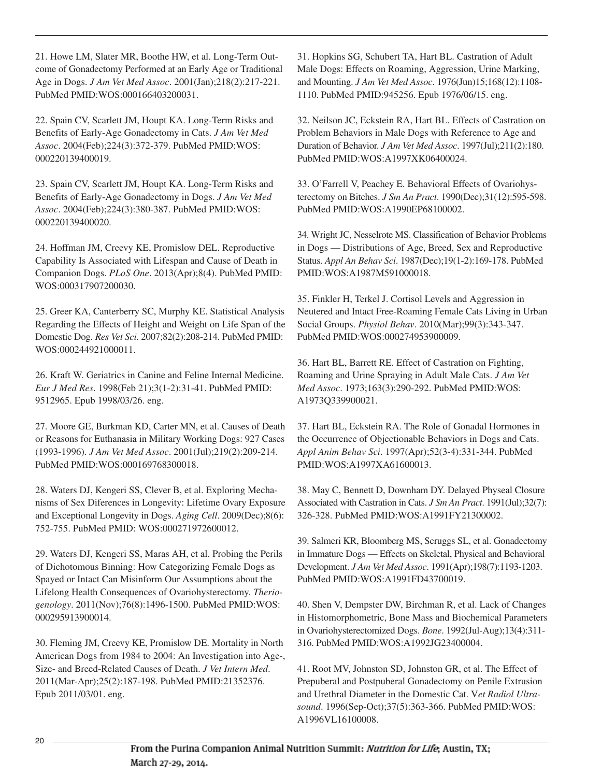21. Howe LM, Slater MR, Boothe HW, et al. Long-Term Outcome of Gonadectomy Performed at an Early Age or Traditional Age in Dogs. *J Am Vet Med Assoc*. 2001(Jan);218(2):217-221. PubMed PMID:WOS:000166403200031.

22. Spain CV, Scarlett JM, Houpt KA. Long-Term Risks and Benefits of Early-Age Gonadectomy in Cats. *J Am Vet Med Assoc*. 2004(Feb);224(3):372-379. PubMed PMID:WOS: 000220139400019.

23. Spain CV, Scarlett JM, Houpt KA. Long-Term Risks and Benefits of Early-Age Gonadectomy in Dogs. *J Am Vet Med Assoc*. 2004(Feb);224(3):380-387. PubMed PMID:WOS: 000220139400020.

24. Hoffman JM, Creevy KE, Promislow DEL. Reproductive Capability Is Associated with Lifespan and Cause of Death in Companion Dogs. *PLoS One*. 2013(Apr);8(4). PubMed PMID: WOS:000317907200030.

25. Greer KA, Canterberry SC, Murphy KE. Statistical Analysis Regarding the Effects of Height and Weight on Life Span of the Domestic Dog. *Res Vet Sci*. 2007;82(2):208-214. PubMed PMID: WOS:000244921000011.

26. Kraft W. Geriatrics in Canine and Feline Internal Medicine. *Eur J Med Res*. 1998(Feb 21);3(1-2):31-41. PubMed PMID: 9512965. Epub 1998/03/26. eng.

27. Moore GE, Burkman KD, Carter MN, et al. Causes of Death or Reasons for Euthanasia in Military Working Dogs: 927 Cases (1993-1996). *J Am Vet Med Assoc*. 2001(Jul);219(2):209-214. PubMed PMID:WOS:000169768300018.

28. Waters DJ, Kengeri SS, Clever B, et al. Exploring Mechanisms of Sex Diferences in Longevity: Lifetime Ovary Exposure and Exceptional Longevity in Dogs. *Aging Cell*. 2009(Dec);8(6): 752-755. PubMed PMID: WOS:000271972600012.

29. Waters DJ, Kengeri SS, Maras AH, et al. Probing the Perils of Dichotomous Binning: How Categorizing Female Dogs as Spayed or Intact Can Misinform Our Assumptions about the Lifelong Health Consequences of Ovariohysterectomy. *Theriogenology*. 2011(Nov);76(8):1496-1500. PubMed PMID:WOS: 000295913900014.

30. Fleming JM, Creevy KE, Promislow DE. Mortality in North American Dogs from 1984 to 2004: An Investigation into Age-, Size- and Breed-Related Causes of Death. *J Vet Intern Med*. 2011(Mar-Apr);25(2):187-198. PubMed PMID:21352376. Epub 2011/03/01. eng.

31. Hopkins SG, Schubert TA, Hart BL. Castration of Adult Male Dogs: Effects on Roaming, Aggression, Urine Marking, and Mounting. *J Am Vet Med Assoc*. 1976(Jun)15;168(12):1108- 1110. PubMed PMID:945256. Epub 1976/06/15. eng.

32. Neilson JC, Eckstein RA, Hart BL. Effects of Castration on Problem Behaviors in Male Dogs with Reference to Age and Duration of Behavior. *J Am Vet Med Assoc*. 1997(Jul);211(2):180. PubMed PMID:WOS:A1997XK06400024.

33. O'Farrell V, Peachey E. Behavioral Effects of Ovariohysterectomy on Bitches. *J Sm An Pract*. 1990(Dec);31(12):595-598. PubMed PMID:WOS:A1990EP68100002.

34. Wright JC, Nesselrote MS. Classification of Behavior Problems in Dogs — Distributions of Age, Breed, Sex and Reproductive Status. *Appl An Behav Sci*. 1987(Dec);19(1-2):169-178. PubMed PMID:WOS:A1987M591000018.

35. Finkler H, Terkel J. Cortisol Levels and Aggression in Neutered and Intact Free-Roaming Female Cats Living in Urban Social Groups. *Physiol Behav*. 2010(Mar);99(3):343-347. PubMed PMID:WOS:000274953900009.

36. Hart BL, Barrett RE. Effect of Castration on Fighting, Roaming and Urine Spraying in Adult Male Cats. *J Am Vet Med Assoc*. 1973;163(3):290-292. PubMed PMID:WOS: A1973Q339900021.

37. Hart BL, Eckstein RA. The Role of Gonadal Hormones in the Occurrence of Objectionable Behaviors in Dogs and Cats. *Appl Anim Behav Sci*. 1997(Apr);52(3-4):331-344. PubMed PMID:WOS:A1997XA61600013.

38. May C, Bennett D, Downham DY. Delayed Physeal Closure Associated with Castration in Cats. *J Sm An Pract*. 1991(Jul);32(7): 326-328. PubMed PMID:WOS:A1991FY21300002.

39. Salmeri KR, Bloomberg MS, Scruggs SL, et al. Gonadectomy in Immature Dogs — Effects on Skeletal, Physical and Behavioral Development. *J Am Vet Med Assoc*. 1991(Apr);198(7):1193-1203. PubMed PMID:WOS:A1991FD43700019.

40. Shen V, Dempster DW, Birchman R, et al. Lack of Changes in Histomorphometric, Bone Mass and Biochemical Parameters in Ovariohysterectomized Dogs. *Bone*. 1992(Jul-Aug);13(4):311- 316. PubMed PMID:WOS:A1992JG23400004.

41. Root MV, Johnston SD, Johnston GR, et al. The Effect of Prepuberal and Postpuberal Gonadectomy on Penile Extrusion and Urethral Diameter in the Domestic Cat. V*et Radiol Ultrasound*. 1996(Sep-Oct);37(5):363-366. PubMed PMID:WOS: A1996VL16100008.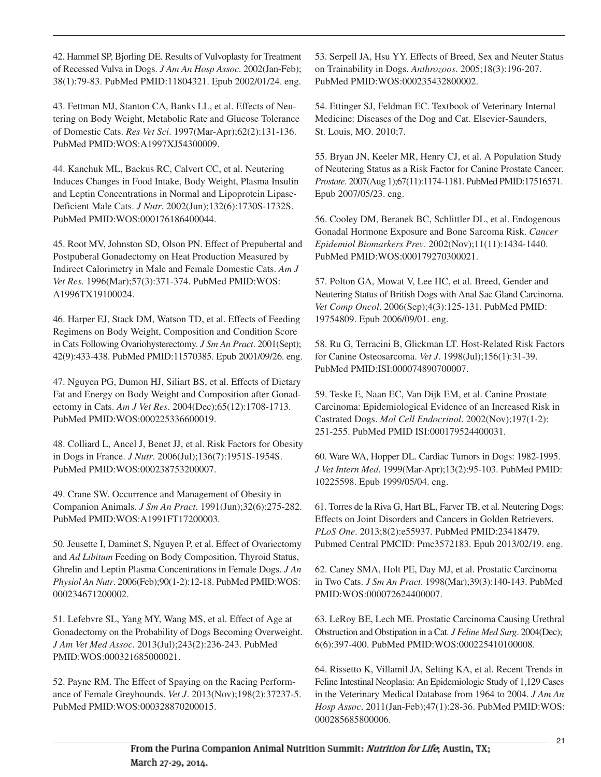42. Hammel SP, Bjorling DE. Results of Vulvoplasty for Treatment of Recessed Vulva in Dogs. *J Am An Hosp Assoc*. 2002(Jan-Feb); 38(1):79-83. PubMed PMID:11804321. Epub 2002/01/24. eng.

43. Fettman MJ, Stanton CA, Banks LL, et al. Effects of Neutering on Body Weight, Metabolic Rate and Glucose Tolerance of Domestic Cats. *Res Vet Sci*. 1997(Mar-Apr);62(2):131-136. PubMed PMID:WOS:A1997XJ54300009.

44. Kanchuk ML, Backus RC, Calvert CC, et al. Neutering Induces Changes in Food Intake, Body Weight, Plasma Insulin and Leptin Concentrations in Normal and Lipoprotein Lipase-Deficient Male Cats. *J Nutr*. 2002(Jun);132(6):1730S-1732S. PubMed PMID:WOS:000176186400044.

45. Root MV, Johnston SD, Olson PN. Effect of Prepubertal and Postpuberal Gonadectomy on Heat Production Measured by Indirect Calorimetry in Male and Female Domestic Cats. *Am J Vet Res*. 1996(Mar);57(3):371-374. PubMed PMID:WOS: A1996TX19100024.

46. Harper EJ, Stack DM, Watson TD, et al. Effects of Feeding Regimens on Body Weight, Composition and Condition Score in Cats Following Ovariohysterectomy. *J Sm An Pract*. 2001(Sept); 42(9):433-438. PubMed PMID:11570385. Epub 2001/09/26. eng.

47. Nguyen PG, Dumon HJ, Siliart BS, et al. Effects of Dietary Fat and Energy on Body Weight and Composition after Gonadectomy in Cats. *Am J Vet Res*. 2004(Dec);65(12):1708-1713. PubMed PMID:WOS:000225336600019.

48. Colliard L, Ancel J, Benet JJ, et al. Risk Factors for Obesity in Dogs in France. *J Nutr*. 2006(Jul);136(7):1951S-1954S. PubMed PMID:WOS:000238753200007.

49. Crane SW. Occurrence and Management of Obesity in Companion Animals. *J Sm An Pract*. 1991(Jun);32(6):275-282. PubMed PMID:WOS:A1991FT17200003.

50. Jeusette I, Daminet S, Nguyen P, et al. Effect of Ovariectomy and *Ad Libitum* Feeding on Body Composition, Thyroid Status, Ghrelin and Leptin Plasma Concentrations in Female Dogs. *J An Physiol An Nutr*. 2006(Feb);90(1-2):12-18. PubMed PMID:WOS: 000234671200002.

51. Lefebvre SL, Yang MY, Wang MS, et al. Effect of Age at Gonadectomy on the Probability of Dogs Becoming Overweight. *J Am Vet Med Assoc*. 2013(Jul);243(2):236-243. PubMed PMID:WOS:000321685000021.

52. Payne RM. The Effect of Spaying on the Racing Performance of Female Greyhounds. *Vet J*. 2013(Nov);198(2):37237-5. PubMed PMID:WOS:000328870200015.

53. Serpell JA, Hsu YY. Effects of Breed, Sex and Neuter Status on Trainability in Dogs. *Anthrozoos*. 2005;18(3):196-207. PubMed PMID:WOS:000235432800002.

54. Ettinger SJ, Feldman EC. Textbook of Veterinary Internal Medicine: Diseases of the Dog and Cat. Elsevier-Saunders, St. Louis, MO. 2010;7.

55. Bryan JN, Keeler MR, Henry CJ, et al. A Population Study of Neutering Status as a Risk Factor for Canine Prostate Cancer. *Prostate*. 2007(Aug 1);67(11):1174-1181. PubMed PMID:17516571. Epub 2007/05/23. eng.

56. Cooley DM, Beranek BC, Schlittler DL, et al. Endogenous Gonadal Hormone Exposure and Bone Sarcoma Risk. *Cancer Epidemiol Biomarkers Prev*. 2002(Nov);11(11):1434-1440. PubMed PMID:WOS:000179270300021.

57. Polton GA, Mowat V, Lee HC, et al. Breed, Gender and Neutering Status of British Dogs with Anal Sac Gland Carcinoma. *Vet Comp Oncol*. 2006(Sep);4(3):125-131. PubMed PMID: 19754809. Epub 2006/09/01. eng.

58. Ru G, Terracini B, Glickman LT. Host-Related Risk Factors for Canine Osteosarcoma. *Vet J*. 1998(Jul);156(1):31-39. PubMed PMID:ISI:000074890700007.

59. Teske E, Naan EC, Van Dijk EM, et al. Canine Prostate Carcinoma: Epidemiological Evidence of an Increased Risk in Castrated Dogs. *Mol Cell Endocrinol*. 2002(Nov);197(1-2): 251-255. PubMed PMID ISI:000179524400031.

60. Ware WA, Hopper DL. Cardiac Tumors in Dogs: 1982-1995. *J Vet Intern Med*. 1999(Mar-Apr);13(2):95-103. PubMed PMID: 10225598. Epub 1999/05/04. eng.

61. Torres de la Riva G, Hart BL, Farver TB, et al. Neutering Dogs: Effects on Joint Disorders and Cancers in Golden Retrievers. *PLoS One*. 2013;8(2):e55937. PubMed PMID:23418479. Pubmed Central PMCID: Pmc3572183. Epub 2013/02/19. eng.

62. Caney SMA, Holt PE, Day MJ, et al. Prostatic Carcinoma in Two Cats. *J Sm An Pract*. 1998(Mar);39(3):140-143. PubMed PMID:WOS:000072624400007.

63. LeRoy BE, Lech ME. Prostatic Carcinoma Causing Urethral Obstruction and Obstipation in a Cat. *J Feline Med Surg*. 2004(Dec); 6(6):397-400. PubMed PMID:WOS:000225410100008.

64. Rissetto K, Villamil JA, Selting KA, et al. Recent Trends in Feline Intestinal Neoplasia: An Epidemiologic Study of 1,129 Cases in the Veterinary Medical Database from 1964 to 2004. *J Am An Hosp Assoc*. 2011(Jan-Feb);47(1):28-36. PubMed PMID:WOS: 000285685800006.